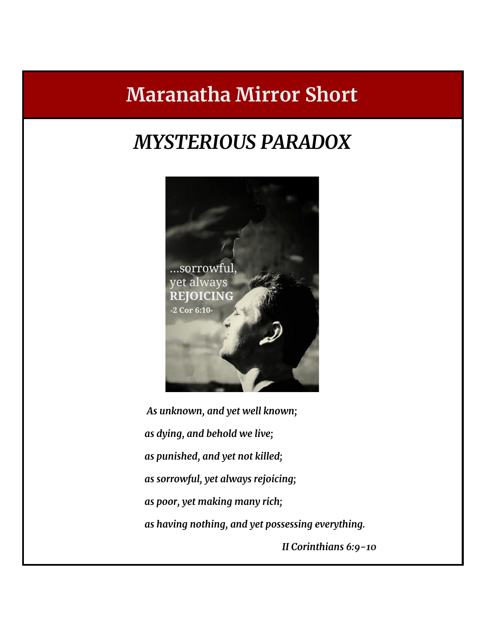# **Maranatha Mirror Short**

# *MYSTERIOUS PARADOX*



*As unknown, and yet well known; as dying, and behold we live; as punished, and yet not killed; as sorrowful, yet always rejoicing; as poor, yet making many rich; as having nothing, and yet possessing everything.*

*II Corinthians 6:9-10*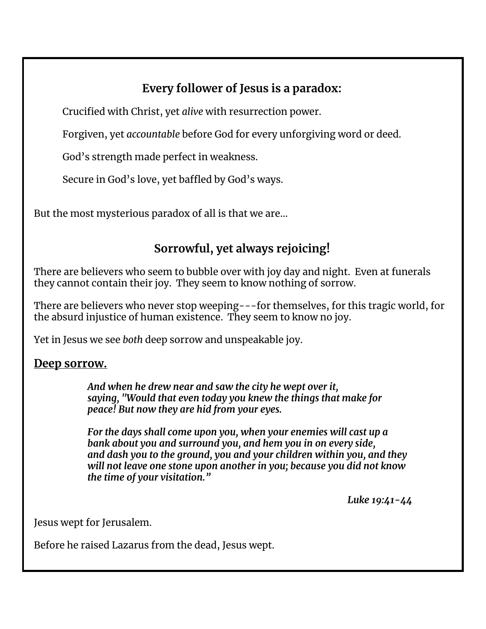# **Every follower of Jesus is a paradox:**

Crucified with Christ, yet *alive* with resurrection power.

Forgiven, yet *accountable* before God for every unforgiving word or deed.

God's strength made perfect in weakness.

Secure in God's love, yet baffled by God's ways.

But the most mysterious paradox of all is that we are…

### **Sorrowful, yet always rejoicing!**

There are believers who seem to bubble over with joy day and night. Even at funerals they cannot contain their joy. They seem to know nothing of sorrow.

There are believers who never stop weeping---for themselves, for this tragic world, for the absurd injustice of human existence. They seem to know no joy.

Yet in Jesus we see *both* deep sorrow and unspeakable joy.

#### **Deep sorrow.**

*And when he drew near and saw the city he wept over it, saying, "Would that even today you knew the things that make for peace! But now they are hid from your eyes.*

*For the days shall come upon you, when your enemies will cast up a bank about you and surround you, and hem you in on every side, and dash you to the ground, you and your children within you, and they will not leave one stone upon another in you; because you did not know the time of your visitation."*

*Luke 19:41-44*

Jesus wept for Jerusalem.

Before he raised Lazarus from the dead, Jesus wept.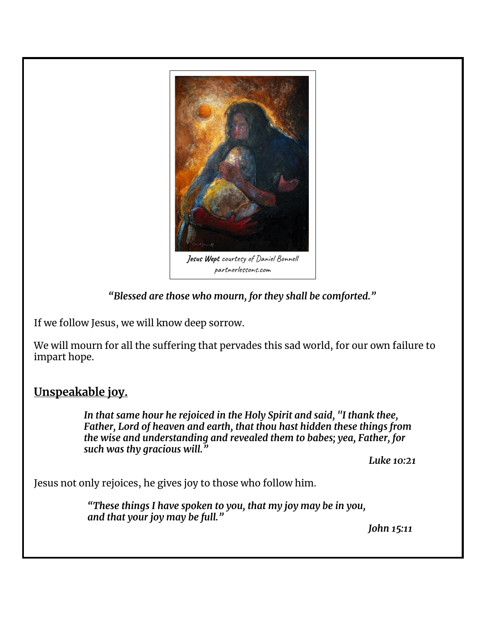

*"Blessed are those who mourn, for they shall be comforted."*

If we follow Jesus, we will know deep sorrow.

We will mourn for all the suffering that pervades this sad world, for our own failure to impart hope.

### **Unspeakable joy.**

*In that same hour he rejoiced in the Holy Spirit and said, "I thank thee, Father, Lord of heaven and earth, that thou hast hidden these things from the wise and understanding and revealed them to babes; yea, Father, for such was thy gracious will."*

*Luke 10:21*

Jesus not only rejoices, he gives joy to those who follow him.

*"These things I have spoken to you, that my joy may be in you, and that your joy may be full."*

*John 15:11*